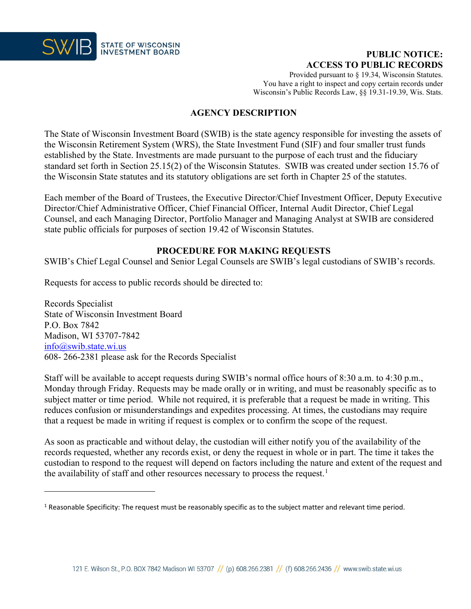

# **PUBLIC NOTICE: ACCESS TO PUBLIC RECORDS**

Provided pursuant to § 19.34, Wisconsin Statutes. You have a right to inspect and copy certain records under Wisconsin's Public Records Law, §§ 19.31-19.39, Wis. Stats.

# **AGENCY DESCRIPTION**

The State of Wisconsin Investment Board (SWIB) is the state agency responsible for investing the assets of the Wisconsin Retirement System (WRS), the State Investment Fund (SIF) and four smaller trust funds established by the State. Investments are made pursuant to the purpose of each trust and the fiduciary standard set forth in Section 25.15(2) of the Wisconsin Statutes. SWIB was created under section 15.76 of the Wisconsin State statutes and its statutory obligations are set forth in Chapter 25 of the statutes.

Each member of the Board of Trustees, the Executive Director/Chief Investment Officer, Deputy Executive Director/Chief Administrative Officer, Chief Financial Officer, Internal Audit Director, Chief Legal Counsel, and each Managing Director, Portfolio Manager and Managing Analyst at SWIB are considered state public officials for purposes of section 19.42 of Wisconsin Statutes.

## **PROCEDURE FOR MAKING REQUESTS**

SWIB's Chief Legal Counsel and Senior Legal Counsels are SWIB's legal custodians of SWIB's records.

Requests for access to public records should be directed to:

Records Specialist State of Wisconsin Investment Board P.O. Box 7842 Madison, WI 53707-7842 [info@swib.state.wi.us](mailto:info@swib.state.wi.us) 608- 266-2381 please ask for the Records Specialist

Staff will be available to accept requests during SWIB's normal office hours of 8:30 a.m. to 4:30 p.m., Monday through Friday. Requests may be made orally or in writing, and must be reasonably specific as to subject matter or time period. While not required, it is preferable that a request be made in writing. This reduces confusion or misunderstandings and expedites processing. At times, the custodians may require that a request be made in writing if request is complex or to confirm the scope of the request.

As soon as practicable and without delay, the custodian will either notify you of the availability of the records requested, whether any records exist, or deny the request in whole or in part. The time it takes the custodian to respond to the request will depend on factors including the nature and extent of the request and the availability of staff and other resources necessary to process the request.<sup>[1](#page-0-0)</sup>

<span id="page-0-0"></span><sup>&</sup>lt;sup>1</sup> Reasonable Specificity: The request must be reasonably specific as to the subject matter and relevant time period.